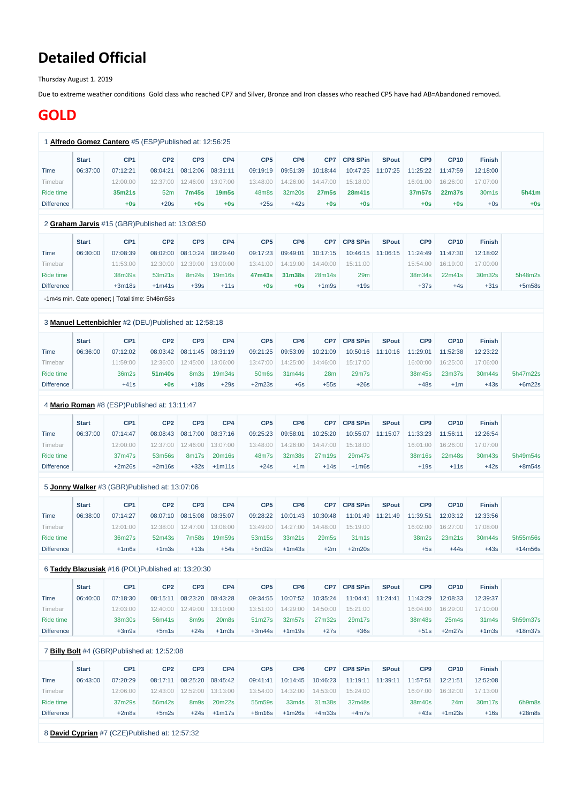# **Detailed Official**

Thursday August 1. 2019

Due to extreme weather conditions Gold class who reached CP7 and Silver, Bronze and Iron classes who reached CP5 have had AB=Abandoned removed.

## **GOLD**

|                   | <b>Start</b> | CP <sub>1</sub>                                       | CP <sub>2</sub> | CP <sub>3</sub>  | CP4                  | CP <sub>5</sub> | CP <sub>6</sub> | CP7               | <b>CP8 SPin</b>                | <b>SPout</b>      | CP <sub>9</sub>             | <b>CP10</b>             | <b>Finish</b> |          |
|-------------------|--------------|-------------------------------------------------------|-----------------|------------------|----------------------|-----------------|-----------------|-------------------|--------------------------------|-------------------|-----------------------------|-------------------------|---------------|----------|
| Time              | 06:37:00     | 07:12:21                                              | 08:04:21        | 08:12:06         | 08:31:11             | 09:19:19        | 09:51:39        | 10:18:44          | 10:47:25                       | 11:07:25          | 11:25:22                    | 11:47:59                | 12:18:00      |          |
| Timebar           |              | 12:00:00                                              | 12:37:00        | 12:46:00         | 13:07:00             | 13:48:00        | 14:26:00        | 14:47:00          | 15:18:00                       |                   | 16:01:00                    | 16:26:00                | 17:07:00      |          |
| Ride time         |              | 35m21s                                                | 52m             | <b>7m45s</b>     | <b>19m5s</b>         | 48m8s           | 32m20s          | <b>27m5s</b>      | <b>28m41s</b>                  |                   | 37m57s                      | <b>22m37s</b>           | 30m1s         | 5h41m    |
| <b>Difference</b> |              | $+0s$                                                 | $+20s$          | $+0s$            | $+0s$                | $+25s$          | $+42s$          | $+0s$             | $+0s$                          |                   | $+0s$                       | $+0s$                   | $+0s$         | $+0s$    |
|                   |              |                                                       |                 |                  |                      |                 |                 |                   |                                |                   |                             |                         |               |          |
|                   |              | 2 Graham Jarvis #15 (GBR)Published at: 13:08:50       |                 |                  |                      |                 |                 |                   |                                |                   |                             |                         |               |          |
|                   | <b>Start</b> | CP <sub>1</sub>                                       | CP <sub>2</sub> | CP <sub>3</sub>  | CP4                  | CP <sub>5</sub> | CP <sub>6</sub> | CP <sub>7</sub>   | <b>CP8 SPin</b>                | <b>SPout</b>      | CP <sub>9</sub>             | <b>CP10</b>             | <b>Finish</b> |          |
| Time              | 06:30:00     | 07:08:39                                              | 08:02:00        | 08:10:24         | 08:29:40             | 09:17:23        | 09:49:01        | 10:17:15          | 10:46:15                       | 11:06:15          | 11:24:49                    | 11:47:30                | 12:18:02      |          |
| Timebar           |              | 11:53:00                                              | 12:30:00        | 12:39:00         | 13:00:00             | 13:41:00        | 14:19:00        | 14:40:00          | 15:11:00                       |                   | 15:54:00                    | 16:19:00                | 17:00:00      |          |
| Ride time         |              | 38m39s                                                | 53m21s          | 8m24s            | 19m16s               | 47m43s          | 31m38s          | 28m14s            | 29m                            |                   | 38m34s                      | 22m41s                  | 30m32s        | 5h48m2s  |
| <b>Difference</b> |              | $+3m18s$                                              | $+1m41s$        | $+39s$           | $+11s$               | $+0s$           | $+0s$           | $+1m9s$           | $+19s$                         |                   | $+37s$                      | $+4s$                   | $+31s$        | $+5m58s$ |
|                   |              | -1m4s min. Gate opener;   Total time: 5h46m58s        |                 |                  |                      |                 |                 |                   |                                |                   |                             |                         |               |          |
|                   |              |                                                       |                 |                  |                      |                 |                 |                   |                                |                   |                             |                         |               |          |
|                   |              | 3 Manuel Lettenbichler #2 (DEU)Published at: 12:58:18 |                 |                  |                      |                 |                 |                   |                                |                   |                             |                         |               |          |
|                   | <b>Start</b> | CP <sub>1</sub>                                       | CP <sub>2</sub> | CP <sub>3</sub>  | CP4                  | CP <sub>5</sub> | CP <sub>6</sub> | CP <sub>7</sub>   | <b>CP8 SPin</b>                | <b>SPout</b>      | CP <sub>9</sub>             | <b>CP10</b>             | <b>Finish</b> |          |
| Time              | 06:36:00     | 07:12:02                                              | 08:03:42        | 08:11:45         | 08:31:19             | 09:21:25        | 09:53:09        | 10:21:09          | 10:50:16                       | 11:10:16          | 11:29:01                    | 11:52:38                | 12:23:22      |          |
| Timebar           |              | 11:59:00                                              | 12:36:00        | 12:45:00         | 13:06:00             | 13:47:00        | 14:25:00        | 14:46:00          | 15:17:00                       |                   | 16:00:00                    | 16:25:00                | 17:06:00      |          |
| Ride time         |              | 36m2s                                                 | 51m40s          | 8m <sub>3s</sub> | 19m34s               | 50m6s           | 31m44s          | 28m               | 29m7s                          |                   | 38m45s                      | 23m37s                  | 30m44s        | 5h47m22s |
| <b>Difference</b> |              | $+41s$                                                | $+0s$           | $+18s$           | $+29s$               | $+2m23s$        | $+6s$           | $+55s$            | $+26s$                         |                   | $+48s$                      | $+1m$                   | $+43s$        | $+6m22s$ |
|                   |              | 4 Mario Roman #8 (ESP)Published at: 13:11:47          |                 |                  |                      |                 |                 |                   |                                |                   |                             |                         |               |          |
|                   |              | CP <sub>1</sub>                                       |                 | CP <sub>3</sub>  |                      | CP <sub>5</sub> | CP <sub>6</sub> | CP7               |                                | <b>SPout</b>      |                             |                         |               |          |
|                   | <b>Start</b> | 07:14:47                                              | CP <sub>2</sub> | 08:17:00         | CP4                  |                 |                 |                   | <b>CP8 SPin</b>                |                   | CP <sub>9</sub><br>11:33:23 | <b>CP10</b><br>11:56:11 | <b>Finish</b> |          |
| <b>l</b> ime      | 06:37:00     |                                                       | 08:08:43        |                  | 08:37:16<br>13:07:00 | 09:25:23        | 09:58:01        | 10:25:20          |                                | 10:55:07 11:15:07 |                             |                         | 12:26:54      |          |
| Timebar           |              | 12:00:00                                              | 12:37:00        | 12:46:00         |                      | 13:48:00        | 14:26:00        | 14:47:00          | 15:18:00                       |                   | 16:01:00                    | 16:26:00                | 17:07:00      |          |
| Ride time         |              | 37m47s                                                | 53m56s          | 8m17s            | 20m16s               | 48m7s           | 32m38s          | 27m19s            | 29m47s                         |                   | 38m16s                      | 22m48s                  | 30m43s        | 5h49m54s |
| <b>Difference</b> |              | $+2m26s$                                              | $+2m16s$        | $+32s$           | $+1m11s$             | $+24s$          | $+1m$           | $+14s$            | $+1m6s$                        |                   | $+19s$                      | $+11s$                  | $+42s$        | $+8m54s$ |
|                   |              | 5 Jonny Walker #3 (GBR)Published at: 13:07:06         |                 |                  |                      |                 |                 |                   |                                |                   |                             |                         |               |          |
|                   | <b>Start</b> | CP <sub>1</sub>                                       | CP <sub>2</sub> | CP <sub>3</sub>  | CP4                  | CP <sub>5</sub> | CP <sub>6</sub> | CP7               | <b>CP8 SPin</b>                | <b>SPout</b>      | CP <sub>9</sub>             | <b>CP10</b>             | <b>Finish</b> |          |
| Time              | 06:38:00     | 07:14:27                                              | 08:07:10        | 08:15:08         | 08:35:07             | 09:28:22        | 10:01:43        | 10:30:48          | 11:01:49                       | 11:21:49          | 11:39:51                    | 12:03:12                | 12:33:56      |          |
| Timebar           |              | 12:01:00                                              | 12:38:00        | 12:47:00         | 13:08:00             | 13:49:00        | 14:27:00        | 14:48:00          | 15:19:00                       |                   | 16:02:00                    | 16:27:00                | 17:08:00      |          |
|                   |              |                                                       |                 |                  | 19m59s               | 53m15s          | 33m21s          | 29m <sub>5s</sub> | 31 <sub>m</sub> 1 <sub>s</sub> |                   | 38m2s                       | 23m21s                  | 30m44s        | 5h55m56s |
| Ride time         |              | 36m27s                                                | 52m43s          | 7m58s            |                      |                 |                 |                   |                                |                   |                             |                         |               |          |

#### 6 **[Taddy Blazusiak](https://www.redbullromaniacs.com/for-competitors/profile/?e=rbr2019&b=16)** #16 (POL)Published at: 13:20:30

|                   | <b>Start</b> | CP <sub>1</sub> | CP <sub>2</sub> | CP <sub>3</sub> | CP4      | CP <sub>5</sub> | CP <sub>6</sub> | CP7      | <b>CP8 SPin</b> | <b>SPout</b> | CP <sub>9</sub> | <b>CP10</b>       | <b>Finish</b>     |           |
|-------------------|--------------|-----------------|-----------------|-----------------|----------|-----------------|-----------------|----------|-----------------|--------------|-----------------|-------------------|-------------------|-----------|
| Time              | 06:40:00     | 07:18:30        | 08:15:11        | 08:23:20        | 08:43:28 | 09:34:55        | 10:07:52        | 10:35:24 | 11:04:41        | 11:24:41     | 11:43:29        | 12:08:33          | 12:39:37          |           |
| Timebar           |              | 12:03:00        | 12:40:00        | 12:49:00        | 13:10:00 | 13:51:00        | 14:29:00        | 14:50:00 | 15:21:00        |              | 16:04:00        | 16:29:00          | 17:10:00          |           |
| Ride time         |              | 38m30s          | 56m41s          | 8m9s            | 20m8s    | 51m27s          | 32m57s          | 27m32s   | 29m17s          |              | 38m48s          | 25 <sub>m4s</sub> | 31 <sub>m4s</sub> | 5h59m37s  |
| <b>Difference</b> |              | $+3m9s$         | $+5m1s$         | +24s            | $+1m3s$  | $+3m44s$        | $+1m19s$        | $+27s$   | $+36s$          |              | +51s            | $+2m27s$          | $+1m3s$           | $+18m37s$ |

## 7 **[Billy Bolt](https://www.redbullromaniacs.com/for-competitors/profile/?e=rbr2019&b=4)** #4 (GBR)Published at: 12:52:08

|                   | <b>Start</b> | CP <sub>1</sub> | CP <sub>2</sub> | CP3      | CP4      | CP <sub>5</sub> | CP <sub>6</sub> | CP7      | <b>CP8 SPin</b> | <b>SPout</b> | CP <sub>9</sub> | <b>CP10</b> | <b>Finish</b> |          |
|-------------------|--------------|-----------------|-----------------|----------|----------|-----------------|-----------------|----------|-----------------|--------------|-----------------|-------------|---------------|----------|
| Time              | 06:43:00     | 07:20:29        | 08:17:11        | 08:25:20 | 08:45:42 | 09:41:41        | 10:14:45        | 10:46:23 | 11:19:11        | 11:39:11     | 11:57:51        | 12:21:51    | 12:52:08      |          |
| Fimebar           |              | 12:06:00        | 12:43:00        | 12:52:00 | 13:13:00 | 13:54:00        | 14:32:00        | 14:53:00 | 15:24:00        |              | 16:07:00        | 16:32:00    | 17:13:00      |          |
| Ride time         |              | 37m29s          | 56m42s          | 8m9s     | 20m22s   | 55m59s          | 33m4s           | 31m38s   | 32m48s          |              | 38m40s          | 24m         | 30m17s        | 6h9m8s   |
| <b>Difference</b> |              | $+2m8s$         | $+5m2s$         | +24s     | $+1m17s$ | $+8m16s$        | $+1m26s$        | $+4m33s$ | $+4m7s$         |              | +43s            | $+1m23s$    | +16s          | $+28m8s$ |

8 **[David Cyprian](https://www.redbullromaniacs.com/for-competitors/profile/?e=rbr2019&b=7)** #7 (CZE)Published at: 12:57:32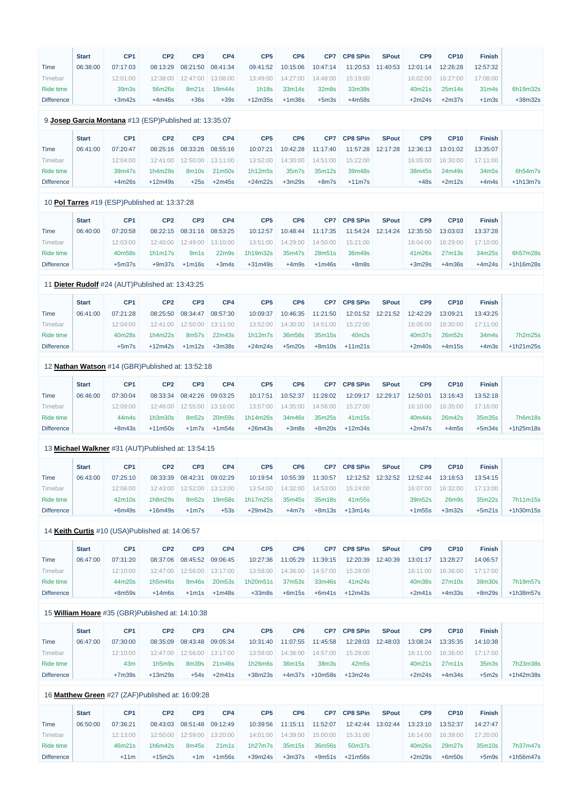|                   | <b>Start</b> | CP <sub>1</sub> | CP <sub>2</sub>                                        | CP <sub>3</sub>  | CP4                | CP <sub>5</sub> | CP <sub>6</sub> | CP7             | <b>CP8 SPin</b> | <b>SPout</b> | CP <sub>9</sub> | <b>CP10</b> | <b>Finish</b> |                |
|-------------------|--------------|-----------------|--------------------------------------------------------|------------------|--------------------|-----------------|-----------------|-----------------|-----------------|--------------|-----------------|-------------|---------------|----------------|
| Time              | 06:38:00     | 07:17:03        | 08:13:29                                               | 08:21:50         | 08:41:34           | 09:41:52        | 10:15:06        | 10:47:14        | 11:20:53        | 11:40:53     | 12:01:14        | 12:26:28    | 12:57:32      |                |
| Timebar           |              | 12:01:00        | 12:38:00                                               | 12:47:00         | 13:08:00           | 13:49:00        | 14:27:00        | 14:48:00        | 15:19:00        |              | 16:02:00        | 16:27:00    | 17:08:00      |                |
| Ride time         |              | 39m3s           | 56m26s                                                 | 8m21s            | 19m44s             | 1h18s           | 33m14s          | 32m8s           | 33m39s          |              | 40m21s          | 25m14s      | 31m4s         | 6h19m32s       |
| <b>Difference</b> |              | $+3m42s$        | $+4m46s$                                               | $+36s$           | $+39s$             | $+12m35s$       | $+1m36s$        | $+5m3s$         | $+4m58s$        |              | $+2m24s$        | $+2m37s$    | $+1m3s$       | $+38m32s$      |
|                   |              |                 |                                                        |                  |                    |                 |                 |                 |                 |              |                 |             |               |                |
|                   |              |                 | 9 Josep Garcia Montana #13 (ESP)Published at: 13:35:07 |                  |                    |                 |                 |                 |                 |              |                 |             |               |                |
|                   | <b>Start</b> | CP <sub>1</sub> | CP <sub>2</sub>                                        | CP <sub>3</sub>  | CP4                | CP <sub>5</sub> | CP <sub>6</sub> | CP <sub>7</sub> | <b>CP8 SPin</b> | <b>SPout</b> | CP <sub>9</sub> | <b>CP10</b> | <b>Finish</b> |                |
| Time              | 06:41:00     | 07:20:47        | 08:25:16                                               | 08:33:26         | 08:55:16           | 10:07:21        | 10:42:28        | 11:17:40        | 11:57:28        | 12:17:28     | 12:36:13        | 13:01:02    | 13:35:07      |                |
| Timebar           |              | 12:04:00        | 12:41:00                                               | 12:50:00         | 13:11:00           | 13:52:00        | 14:30:00        | 14:51:00        | 15:22:00        |              | 16:05:00        | 16:30:00    | 17:11:00      |                |
| Ride time         |              | 39m47s          | 1h4m29s                                                | 8m10s            | 21m50s             | 1h12m5s         | 35m7s           | 35m12s          | 39m48s          |              | 38m45s          | 24m49s      | 34m5s         | 6h54m7s        |
| <b>Difference</b> |              | $+4m26s$        | $+12m49s$                                              | $+25s$           | $+2m45s$           | $+24m22s$       | $+3m29s$        | $+8m7s$         | $+11m7s$        |              | $+48s$          | $+2m12s$    | $+4m4s$       | $+1h13m7s$     |
|                   |              |                 |                                                        |                  |                    |                 |                 |                 |                 |              |                 |             |               |                |
|                   |              |                 | 10 Pol Tarres #19 (ESP)Published at: 13:37:28          |                  |                    |                 |                 |                 |                 |              |                 |             |               |                |
|                   | <b>Start</b> | CP <sub>1</sub> | CP <sub>2</sub>                                        | CP <sub>3</sub>  | CP4                | CP <sub>5</sub> | CP <sub>6</sub> | CP7             | <b>CP8 SPin</b> | <b>SPout</b> | CP <sub>9</sub> | <b>CP10</b> | <b>Finish</b> |                |
| Time              | 06:40:00     | 07:20:58        | 08:22:15                                               | 08:31:16         | 08:53:25           | 10:12:57        | 10:48:44        | 11:17:35        | 11:54:24        | 12:14:24     | 12:35:50        | 13:03:03    | 13:37:28      |                |
| Timebar           |              | 12:03:00        | 12:40:00                                               | 12:49:00         | 13:10:00           | 13:51:00        | 14:29:00        | 14:50:00        | 15:21:00        |              | 16:04:00        | 16:29:00    | 17:10:00      |                |
| Ride time         |              | 40m58s          | 1h1m17s                                                | 9m <sub>1s</sub> | 22 <sub>m</sub> 9s | 1h19m32s        | 35m47s          | 28m51s          | 36m49s          |              | 41m26s          | 27m13s      | 34m25s        | 6h57m28s       |
| <b>Difference</b> |              | $+5m37s$        | $+9m37s$                                               | $+1m16s$         | $+3m4s$            | $+31m49s$       | $+4m9s$         | $+1m46s$        | $+8m8s$         |              | $+3m29s$        | $+4m36s$    | $+4m24s$      | $+1h16m28s$    |
|                   |              |                 | 11 Dieter Rudolf #24 (AUT)Published at: 13:43:25       |                  |                    |                 |                 |                 |                 |              |                 |             |               |                |
|                   | <b>Start</b> | CP <sub>1</sub> | CP <sub>2</sub>                                        | CP <sub>3</sub>  | CP4                | CP <sub>5</sub> | CP <sub>6</sub> | CP7             | <b>CP8 SPin</b> | <b>SPout</b> | CP <sub>9</sub> | <b>CP10</b> | <b>Finish</b> |                |
| Time              | 06:41:00     | 07:21:28        | 08:25:50                                               | 08:34:47         | 08:57:30           | 10:09:37        | 10:46:35        | 11:21:50        | 12:01:52        | 12:21:52     | 12:42:29        | 13:09:21    | 13:43:25      |                |
| Timebar           |              | 12:04:00        | 12:41:00                                               | 12:50:00         | 13:11:00           | 13:52:00        | 14:30:00        | 14:51:00        | 15:22:00        |              | 16:05:00        | 16:30:00    | 17:11:00      |                |
|                   |              |                 |                                                        |                  |                    |                 |                 |                 |                 |              |                 |             |               |                |
| Ride time         |              | 40m28s          | 1h4m22s                                                | 8m57s            | 22m43s             | 1h12m7s         | 36m58s          | 35m15s          | 40m2s           |              | 40m37s          | 26m52s      | 34m4s         | 7h2m25s        |
| <b>Difference</b> |              | $+5m7s$         | $+12m42s$                                              | $+1m12s$         | $+3m38s$           | $+24m24s$       | $+5m20s$        | $+8m10s$        | $+11m21s$       |              | $+2m40s$        | $+4m15s$    | $+4m3s$       | $+1h21m25s$    |
|                   |              |                 | 12 Nathan Watson #14 (GBR)Published at: 13:52:18       |                  |                    |                 |                 |                 |                 |              |                 |             |               |                |
|                   | <b>Start</b> | CP <sub>1</sub> | CP <sub>2</sub>                                        | CP <sub>3</sub>  | CP4                | CP <sub>5</sub> | CP <sub>6</sub> | CP7             | <b>CP8 SPin</b> | <b>SPout</b> | CP <sub>9</sub> | <b>CP10</b> | <b>Finish</b> |                |
| <b>Time</b>       | 06:46:00     | 07:30:04        | 08:33:34                                               | 08:42:26         | 09:03:25           | 10:17:51        | 10:52:37        | 11:28:02        | 12:09:17        | 12:29:17     | 12:50:01        | 13:16:43    | 13:52:18      |                |
| Timebar           |              | 12:09:00        | 12:46:00                                               | 12:55:00         | 13:16:00           | 13:57:00        | 14:35:00        | 14:56:00        | 15:27:00        |              | 16:10:00        | 16:35:00    | 17:16:00      |                |
| Ride time         |              | 44m4s           | 1h3m30s                                                | 8m52s            | 20m59s             | 1h14m26s        | 34m46s          | 35m25s          | 41m15s          |              | 40m44s          | 26m42s      | 35m35s        | <b>7h6m18s</b> |
| <b>Difference</b> |              | $+8m43s$        | $+11m50s$                                              | $+1m7s$          | $+1m54s$           | $+26m43s$       | $+3m8s$         | $+8m20s$        | $+12m34s$       |              | $+2m47s$        | $+4m5s$     | $+5m34s$      | $+1h25m18s$    |
|                   |              |                 |                                                        |                  |                    |                 |                 |                 |                 |              |                 |             |               |                |
|                   |              |                 | 13 Michael Walkner #31 (AUT)Published at: 13:54:15     |                  |                    |                 |                 |                 |                 |              |                 |             |               |                |
|                   | <b>Start</b> | CP <sub>1</sub> | CP <sub>2</sub>                                        | CP <sub>3</sub>  | CP4                | CP <sub>5</sub> | CP <sub>6</sub> | CP7             | <b>CP8 SPin</b> | <b>SPout</b> | CP <sub>9</sub> | <b>CP10</b> | <b>Finish</b> |                |
| <b>Time</b>       | 06:43:00     | 07:25:10        | 08:33:39                                               | 08:42:31         | 09:02:29           | 10:19:54        | 10:55:39        | 11:30:57        | 12:12:52        | 12:32:52     | 12:52:44        | 13:18:53    | 13:54:15      |                |
| Timebar           |              | 12:06:00        | 12:43:00                                               | 12:52:00         | 13:13:00           | 13:54:00        | 14:32:00        | 14:53:00        | 15:24:00        |              | 16:07:00        | 16:32:00    | 17:13:00      |                |
| Ride time         |              | 42m10s          | 1h8m29s                                                | 8m52s            | 19m58s             | 1h17m25s        | 35m45s          | 35m18s          | 41m55s          |              | 39m52s          | 26m9s       | 35m22s        | 7h11m15s       |
| <b>Difference</b> |              | $+6m49s$        | $+16m49s$                                              | $+1m7s$          | $+53s$             | $+29m42s$       | $+4m7s$         | $+8m13s$        | $+13m14s$       |              | $+1m55s$        | $+3m32s$    | $+5m21s$      | +1h30m15s      |
|                   |              |                 | 14 Keith Curtis #10 (USA) Published at: 14:06:57       |                  |                    |                 |                 |                 |                 |              |                 |             |               |                |
|                   |              | CP <sub>1</sub> | CP <sub>2</sub>                                        | CP <sub>3</sub>  | CP4                | CP <sub>5</sub> | CP <sub>6</sub> |                 | <b>CP8 SPin</b> | <b>SPout</b> | CP <sub>9</sub> | <b>CP10</b> |               |                |
|                   | <b>Start</b> |                 |                                                        |                  |                    |                 |                 | CP7             |                 |              |                 |             | <b>Finish</b> |                |
| Time              | 06:47:00     | 07:31:20        | 08:37:06                                               | 08:45:52         | 09:06:45           | 10:27:36        | 11:05:29        | 11:39:15        | 12:20:39        | 12:40:39     | 13:01:17        | 13:28:27    | 14:06:57      |                |
| Timebar           |              | 12:10:00        | 12:47:00                                               | 12:56:00         | 13:17:00           | 13:58:00        | 14:36:00        | 14:57:00        | 15:28:00        |              | 16:11:00        | 16:36:00    | 17:17:00      |                |
| Ride time         |              | 44m20s          | 1h5m46s                                                | 8m46s            | 20m53s             | 1h20m51s        | 37m53s          | 33m46s          | 41m24s          |              | 40m38s          | 27m10s      | 38m30s        | 7h19m57s       |
| <b>Difference</b> |              | $+8m59s$        | $+14m6s$                                               | $+1m1s$          | $+1m48s$           | $+33m8s$        | $+6m15s$        | $+6m41s$        | $+12m43s$       |              | $+2m41s$        | $+4m33s$    | $+8m29s$      | +1h38m57s      |

## 15 **[William Hoare](https://www.redbullromaniacs.com/for-competitors/profile/?e=rbr2019&b=35)** #35 (GBR)Published at: 14:10:38

|                   | <b>Start</b> | CP <sub>1</sub> | CP <sub>2</sub> | CP <sub>3</sub>     | CP4      | CP <sub>5</sub> | CP <sub>6</sub> | CP7               | <b>CP8 SPin</b> | <b>SPout</b> | CP <sub>9</sub> | <b>CP10</b> | <b>Finish</b>     |           |
|-------------------|--------------|-----------------|-----------------|---------------------|----------|-----------------|-----------------|-------------------|-----------------|--------------|-----------------|-------------|-------------------|-----------|
| Time              | 06:47:00     | 07:30:00        | 08:35:09        | 08:43:48            | 09:05:34 | 10:31:40        | 11:07:55        | 11:45:58          | 12:28:03        | 12:48:03     | 13:08:24        | 13:35:35    | 14:10:38          |           |
| Timebar           |              | 12:10:00        | 12:47:00        | $12:56:00$ 13:17:00 |          | 13:58:00        |                 | 14:36:00 14:57:00 | 15:28:00        |              | 16:11:00        | 16:36:00    | 17:17:00          |           |
| Ride time         |              | 43m             | 1h5m9s          | 8m39s               | 21m46s   | 1h26m6s         | 36m15s          | 38m3s             | 42m5s           |              | 40m21s          | 27m11s      | 35 <sub>m3s</sub> | 7h23m38s  |
| <b>Difference</b> |              | $+7m39s$        | $+13m29s$       | $+54s$              | $+2m41s$ | $+38m23s$       | +4m37s          | $+10m58s$         | +13m24s         |              | $+2m24s$        | $+4m34s$    | $+5m2s$           | +1h42m38s |

## 16 **[Matthew Green](https://www.redbullromaniacs.com/for-competitors/profile/?e=rbr2019&b=27)** #27 (ZAF)Published at: 16:09:28

|                   | <b>Start</b> | CP <sub>1</sub> | CP <sub>2</sub> | CP <sub>3</sub> | CP4                            | CP <sub>5</sub> | CP <sub>6</sub>   | CP7      | <b>CP8 SPin</b> | <b>SPout</b> | CP <sub>9</sub> | CP10     | <b>Finish</b> |           |
|-------------------|--------------|-----------------|-----------------|-----------------|--------------------------------|-----------------|-------------------|----------|-----------------|--------------|-----------------|----------|---------------|-----------|
| Time              | 06:50:00     | 07:36:21        | 08:43:03        | 08:51:48        | 09:12:49                       | 10:39:56        | 11:15:11          | 11:52:07 | 12:42:44        | 13:02:44     | 13:23:10        | 13:52:37 | 14:27:47      |           |
| <b>fimebar</b>    |              | 12:13:00        | 12:50:00        | 12:59:00        | 13:20:00                       |                 | 14:01:00 14:39:00 | 15:00:00 | 15:31:00        |              | 16:14:00        | 16:39:00 | 17:20:00      |           |
| Ride time         |              | 46m21s          | 1h6m42s         | 8m45s           | 21 <sub>m</sub> 1 <sub>s</sub> | 1h27m7s         | 35m15s            | 36m56s   | 50m37s          |              | 40m26s          | 29m27s   | 35m10s        | 7h37m47s  |
| <b>Difference</b> |              | $+11m$          | $+15m2s$        | $+1m$           | $+1m56s$                       | +39m24s         | $+3m37s$          | $+9m51s$ | $+21m56s$       |              | $+2m29s$        | $+6m50s$ | $+5m9s$       | +1h56m47s |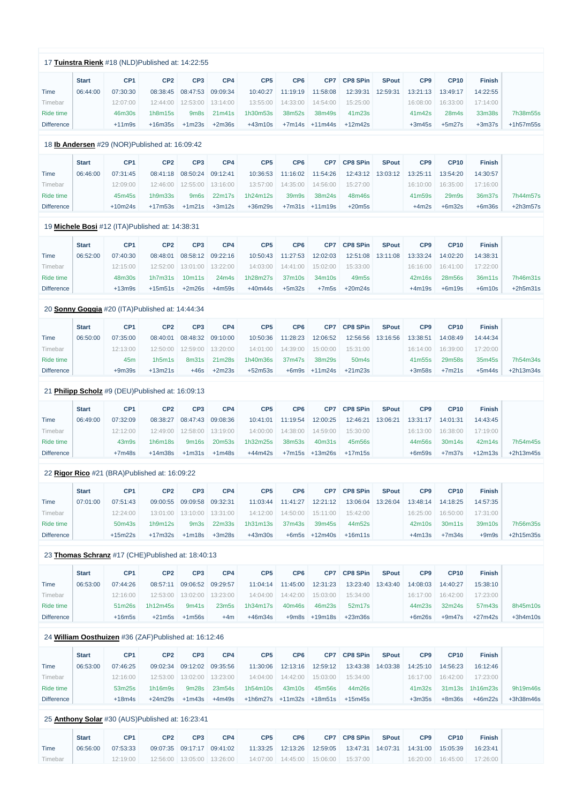|                   |              | 17 Tuinstra Rienk #18 (NLD)Published at: 14:22:55 |                 |                              |          |                 |                 |                    |                    |              |                 |                    |               |             |
|-------------------|--------------|---------------------------------------------------|-----------------|------------------------------|----------|-----------------|-----------------|--------------------|--------------------|--------------|-----------------|--------------------|---------------|-------------|
|                   | <b>Start</b> | CP <sub>1</sub>                                   | CP <sub>2</sub> | CP <sub>3</sub>              | CP4      | CP <sub>5</sub> | CP <sub>6</sub> | CP7                | <b>CP8 SPin</b>    | <b>SPout</b> | CP <sub>9</sub> | <b>CP10</b>        | <b>Finish</b> |             |
| Time              | 06:44:00     | 07:30:30                                          | 08:38:45        | 08:47:53                     | 09:09:34 | 10:40:27        | 11:19:19        | 11:58:08           | 12:39:31           | 12:59:31     | 13:21:13        | 13:49:17           | 14:22:55      |             |
| Timebar           |              | 12:07:00                                          | 12:44:00        | 12:53:00                     | 13:14:00 | 13:55:00        | 14:33:00        | 14:54:00           | 15:25:00           |              | 16:08:00        | 16:33:00           | 17:14:00      |             |
| Ride time         |              | 46m30s                                            | 1h8m15s         | 9m8s                         | 21m41s   | 1h30m53s        | 38m52s          | 38m49s             | 41m23s             |              | 41m42s          | 28m4s              | 33m38s        | 7h38m55s    |
| <b>Difference</b> |              | $+11m9s$                                          | $+16m35s$       | $+1m23s$                     | $+2m36s$ | $+43m10s$       |                 | $+7m14s$ $+11m44s$ | $+12m42s$          |              | $+3m45s$        | $+5m27s$           | $+3m37s$      | +1h57m55s   |
|                   |              | 18 lb Andersen #29 (NOR)Published at: 16:09:42    |                 |                              |          |                 |                 |                    |                    |              |                 |                    |               |             |
|                   | <b>Start</b> | CP <sub>1</sub>                                   | CP <sub>2</sub> | CP <sub>3</sub>              | CP4      | CP <sub>5</sub> | CP <sub>6</sub> | CP7                | <b>CP8 SPin</b>    | <b>SPout</b> | CP <sub>9</sub> | <b>CP10</b>        | <b>Finish</b> |             |
| <b>Time</b>       | 06:46:00     | 07:31:45                                          | 08:41:18        | 08:50:24                     | 09:12:41 | 10:36:53        | 11:16:02        | 11:54:26           | 12:43:12           | 13:03:12     | 13:25:11        | 13:54:20           | 14:30:57      |             |
| Timebar           |              | 12:09:00                                          | 12:46:00        | 12:55:00                     | 13:16:00 | 13:57:00        | 14:35:00        | 14:56:00           | 15:27:00           |              | 16:10:00        | 16:35:00           | 17:16:00      |             |
| <b>Ride time</b>  |              | 45m45s                                            | 1h9m33s         | 9m <sub>6s</sub>             | 22m17s   | 1h24m12s        | 39m9s           | 38m24s             | 48m46s             |              | 41m59s          | 29m9s              | 36m37s        | 7h44m57s    |
| <b>Difference</b> |              | $+10m24s$                                         | $+17m53s$       | $+1m21s$                     | $+3m12s$ | +36m29s         |                 | $+7m31s$ $+11m19s$ | $+20m5s$           |              | $+4m2s$         | $+6m32s$           | $+6m36s$      | $+2h3m57s$  |
|                   |              | 19 Michele Bosi #12 (ITA) Published at: 14:38:31  |                 |                              |          |                 |                 |                    |                    |              |                 |                    |               |             |
|                   | <b>Start</b> | CP <sub>1</sub>                                   | CP <sub>2</sub> | CP <sub>3</sub>              | CP4      | CP <sub>5</sub> | CP <sub>6</sub> | CP7                | <b>CP8 SPin</b>    | <b>SPout</b> | CP <sub>9</sub> | <b>CP10</b>        | <b>Finish</b> |             |
| <b>Time</b>       | 06:52:00     | 07:40:30                                          | 08:48:01        | 08:58:12                     | 09:22:16 | 10:50:43        | 11:27:53        | 12:02:03           | 12:51:08           | 13:11:08     | 13:33:24        | 14:02:20           | 14:38:31      |             |
| Timebar           |              | 12:15:00                                          | 12:52:00        | 13:01:00                     | 13:22:00 | 14:03:00        | 14:41:00        | 15:02:00           | 15:33:00           |              | 16:16:00        | 16:41:00           | 17:22:00      |             |
| Ride time         |              | 48m30s                                            | 1h7m31s         | 10m11s                       | 24m4s    | 1h28m27s        | 37m10s          | 34m10s             | 49m <sub>5s</sub>  |              | 42m16s          | 28m56s             | 36m11s        | 7h46m31s    |
| <b>Difference</b> |              | $+13m9s$                                          | $+15m51s$       | $+2m26s$                     | $+4m59s$ | $+40m44s$       | $+5m32s$        | $+7m5s$            | $+20m24s$          |              | $+4m19s$        | $+6m19s$           | $+6m10s$      | $+2h5m31s$  |
|                   |              | 20 Sonny Goggia #20 (ITA)Published at: 14:44:34   |                 |                              |          |                 |                 |                    |                    |              |                 |                    |               |             |
|                   | <b>Start</b> | CP <sub>1</sub>                                   | CP <sub>2</sub> | CP <sub>3</sub>              | CP4      | CP <sub>5</sub> | CP <sub>6</sub> | CP7                | <b>CP8 SPin</b>    | <b>SPout</b> | CP <sub>9</sub> | <b>CP10</b>        | <b>Finish</b> |             |
| <b>Time</b>       | 06:50:00     | 07:35:00                                          | 08:40:01        | 08:48:32                     | 09:10:00 | 10:50:36        | 11:28:23        | 12:06:52           | 12:56:56           | 13:16:56     | 13:38:51        | 14:08:49           | 14:44:34      |             |
| Timebar           |              | 12:13:00                                          |                 | 12:50:00  12:59:00  13:20:00 |          |                 |                 |                    |                    |              |                 | 16:14:00  16:39:00 | 17:20:00      |             |
| <b>Ride time</b>  |              | 45m                                               | 1h5m1s          | 8m31s                        | 21m28s   | 1h40m36s        | 37m47s          | 38m29s             | 50 <sub>m</sub> 4s |              | 41m55s          | 29m58s             | 35m45s        | 7h54m34s    |
| <b>Difference</b> |              | $+9m39s$                                          | $+13m21s$       | $+46s$                       | $+2m23s$ | $+52m53s$       |                 | $+6m9s +11m24s$    | $+21m23s$          |              | $+3m58s$        | $+7m21s$           | $+5m44s$      | $+2h13m34s$ |
|                   |              | 21 Philipp Scholz #9 (DEU)Published at: 16:09:13  |                 |                              |          |                 |                 |                    |                    |              |                 |                    |               |             |
|                   | <b>Start</b> | CP <sub>1</sub>                                   | CP <sub>2</sub> | CP <sub>3</sub>              | CP4      | CP <sub>5</sub> | CP <sub>6</sub> | CP7                | CP8 SPin           | <b>SPout</b> | CP <sub>9</sub> | <b>CP10</b>        | <b>Finish</b> |             |
| <b>Time</b>       | 06:49:00     | 07:32:09                                          | 08:38:27        | 08:47:43                     | 09:08:36 | 10:41:01        | 11:19:54        | 12:00:25           | 12:46:21           | 13:06:21     | 13:31:17        | 14:01:31           | 14:43:45      |             |
| Timebar           |              | 12:12:00                                          | 12:49:00        | 12:58:00                     | 13:19:00 | 14:00:00        | 14:38:00        | 14:59:00           | 15:30:00           |              | 16:13:00        | 16:38:00           | 17:19:00      |             |
| Ride time         |              | 43m9s                                             | 1h6m18s         | 9m16s                        | 20m53s   | 1h32m25s        | 38m53s          | 40m31s             | 45m56s             |              | 44m56s          | 30m14s             | 42m14s        | 7h54m45s    |
| <b>Difference</b> |              | $+7m48s$                                          | $+14m38s$       | $+1m31s$                     | $+1m48s$ | $+44m42s$       |                 | $+7m15s$ $+13m26s$ | $+17m15s$          |              | $+6m59s$        | $+7m37s$           | $+12m13s$     | +2h13m45s   |
|                   |              | 22 Rigor Rico #21 (BRA)Published at: 16:09:22     |                 |                              |          |                 |                 |                    |                    |              |                 |                    |               |             |
|                   | <b>Start</b> | CP <sub>1</sub>                                   | CP <sub>2</sub> | CP <sub>3</sub>              | CP4      | CP <sub>5</sub> | CP <sub>6</sub> | CP7                | <b>CP8 SPin</b>    | <b>SPout</b> | CP <sub>9</sub> | <b>CP10</b>        | <b>Finish</b> |             |
| <b>Time</b>       | 07:01:00     | 07:51:43                                          | 09:00:55        | 09:09:58                     | 09:32:31 | 11:03:44        | 11:41:27        | 12:21:12           | 13:06:04           | 13:26:04     | 13:48:14        | 14:18:25           | 14:57:35      |             |
| Timebar           |              | 12:24:00                                          | 13:01:00        | 13:10:00                     | 13:31:00 | 14:12:00        | 14:50:00        | 15:11:00           | 15:42:00           |              | 16:25:00        | 16:50:00           | 17:31:00      |             |
| Ride time         |              | 50m43s                                            | 1h9m12s         | 9m <sub>3s</sub>             | 22m33s   | 1h31m13s        | 37m43s          | 39m45s             | 44m52s             |              | 42m10s          | 30m11s             | 39m10s        | 7h56m35s    |
| <b>Difference</b> |              | $+15m22s$                                         | $+17m32s$       | $+1m18s$                     | $+3m28s$ | $+43m30s$       | $+6m5s$         | $+12m40s$          | $+16m11s$          |              | $+4m13s$        | $+7m34s$           | $+9m9s$       | +2h15m35s   |
|                   |              | 23 Thomas Schranz #17 (CHE)Published at: 18:40:13 |                 |                              |          |                 |                 |                    |                    |              |                 |                    |               |             |
|                   | <b>Start</b> | CP <sub>1</sub>                                   | CP <sub>2</sub> | CP <sub>3</sub>              | CP4      | CP <sub>5</sub> | CP <sub>6</sub> |                    | CP7 CP8 SPin       | <b>SPout</b> | CP <sub>9</sub> | <b>CP10</b>        | <b>Finish</b> |             |

Timebar Ride time 12:16:00

12:53:00 13:02:00 13:23:00 14:04:00 14:42:00 15:03:00 15:34:00

Time 06:53:00 07:44:26 08:57:11 09:06:52 09:29:57 11:04:14 11:45:00 12:31:23 13:23:40 13:43:40 14:08:03 14:40:27 15:38:10

| Ride time         |        | $51m26s$ 1h12m45s |                 |       | 9m41s 23m5s 1h34m17s 40m46s 46m23s 52m17s |  |                             |  | 44m23s 32m24s | 57m43s ∥                    | 8h45m10s |
|-------------------|--------|-------------------|-----------------|-------|-------------------------------------------|--|-----------------------------|--|---------------|-----------------------------|----------|
| <b>Difference</b> | ⊦16m5s |                   | $+21m5s +1m56s$ | $+4m$ | $+46m34s$ .                               |  | $+9m8s$ $+19m18s$ $+23m36s$ |  |               | $+6m26s$ $+9m47s$ $+27m42s$ | +3h4m10s |

16:17:00 16:42:00 17:23:00

### 24 **[William Oosthuizen](https://www.redbullromaniacs.com/for-competitors/profile/?e=rbr2019&b=36)** #36 (ZAF)Published at: 16:12:46

|                   | <b>Start</b> | CP <sub>1</sub> | CP <sub>2</sub> | CP <sub>3</sub> | CP4      | CP <sub>5</sub>      | CP <sub>6</sub> | CP7      | CP8 SPin | <b>SPout</b> | CP <sub>9</sub> | CP10     | <b>Finish</b>   |             |
|-------------------|--------------|-----------------|-----------------|-----------------|----------|----------------------|-----------------|----------|----------|--------------|-----------------|----------|-----------------|-------------|
| Time              | 06:53:00     | 07:46:25        | 09:02:34        | 09:12:02        | 09:35:56 | 11:30:06             | 12:13:16        | 12:59:12 | 13:43:38 | 14:03:38     | 14:25:10        | 14:56:23 | 16:12:46        |             |
| Fimebar           |              | 12:16:00        | 12:53:00        | 13:02:00        | 13:23:00 | 14:04:00             | 14:42:00        | 15:03:00 | 15:34:00 |              | 16:17:00        | 16:42:00 | 17:23:00        |             |
| Ride time         |              | 53m25s          | 1h16m9s         | 9m28s           | 23m54s   | 1h54m10s             | 43m10s          | 45m56s   | 44m26s   |              | 41m32s          |          | 31m13s 1h16m23s | 9h19m46s    |
| <b>Difference</b> |              | $+18m4s$        | +24m29s         | $+1m43s$        | $+4m49s$ | $+1h6m27s$ $+11m32s$ |                 | +18m51s  | +15m45s  |              | $+3m35s$        | $+8m36s$ | $+46m22s$       | $+3h38m46s$ |

#### 25 **[Anthony Solar](https://www.redbullromaniacs.com/for-competitors/profile/?e=rbr2019&b=30)** #30 (AUS)Published at: 16:23:41

|         | <b>Start</b> | CP <sub>1</sub> | CP <sub>2</sub> | CP <sub>3</sub> | CP4                            | CP <sub>5</sub> | CP <sub>6</sub> | CP7 CP8 SPin                                                               | <b>SPout</b> | CP <sub>9</sub> | CP10 | <b>Finish</b>                    |
|---------|--------------|-----------------|-----------------|-----------------|--------------------------------|-----------------|-----------------|----------------------------------------------------------------------------|--------------|-----------------|------|----------------------------------|
| Time    | 06:56:00     | 07:53:33        |                 |                 | 09:07:35 09:17:17 09:41:02     |                 |                 | 11:33:25   12:13:26   12:59:05   13:47:31   14:07:31   14:31:00   15:05:39 |              |                 |      | 16:23:41                         |
| Timebar |              | 12:19:00        |                 |                 | 12:56:00   13:05:00   13:26:00 |                 |                 | $14:07:00$ 14:45:00 15:06:00 15:37:00                                      |              |                 |      | $16:20:00$ $16:45:00$ $17:26:00$ |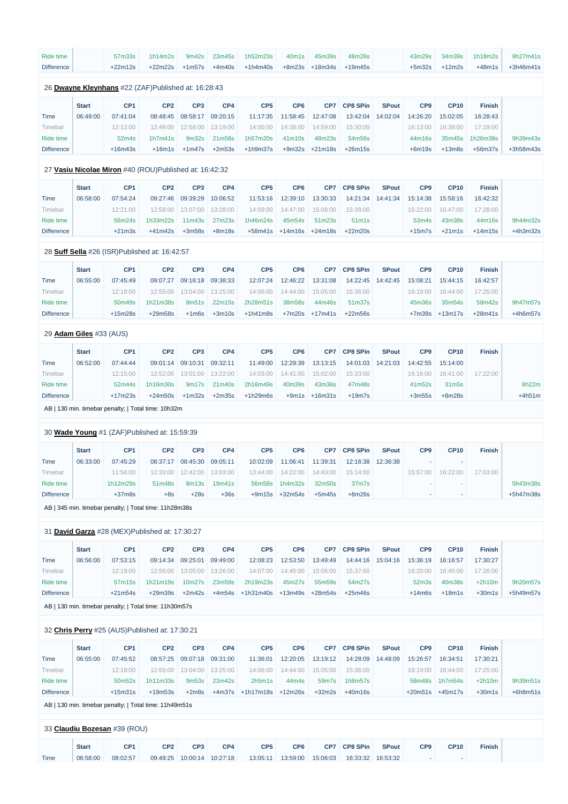| Ride time<br><b>Difference</b> |                                | 57m33s<br>$+22m12s$         | 1h14m2s<br>$+22m22s$                                   | 9m42s<br>$+1m57s$           | 23m45s<br>$+4m40s$   | 1h52m23s<br>$+1h4m40s$ | 40m1s<br>$+8m23s$    | 45m39s<br>$+18m34s$  | 48m26s<br>$+19m45s$  |              | 43m29s<br>$+5m32s$   | 34m39s<br>$+12m2s$   | 1h18m2s<br>$+48m1s$  | 9h27m41s<br>+3h46m41s |
|--------------------------------|--------------------------------|-----------------------------|--------------------------------------------------------|-----------------------------|----------------------|------------------------|----------------------|----------------------|----------------------|--------------|----------------------|----------------------|----------------------|-----------------------|
|                                |                                |                             |                                                        |                             |                      |                        |                      |                      |                      |              |                      |                      |                      |                       |
|                                |                                |                             | 26 Dwayne Kleynhans #22 (ZAF)Published at: 16:28:43    |                             |                      |                        |                      |                      |                      |              |                      |                      |                      |                       |
|                                | <b>Start</b>                   | CP <sub>1</sub>             | CP <sub>2</sub>                                        | CP <sub>3</sub>             | CP4                  | CP <sub>5</sub>        | CP <sub>6</sub>      | CP <sub>7</sub>      | <b>CP8 SPin</b>      | <b>SPout</b> | CP <sub>9</sub>      | <b>CP10</b>          | <b>Finish</b>        |                       |
| <b>Time</b>                    | 06:49:00                       | 07:41:04                    | 08:48:45                                               | 08:58:17                    | 09:20:15             | 11:17:35               | 11:58:45             | 12:47:08             | 13:42:04             | 14:02:04     | 14:26:20             | 15:02:05             | 16:28:43             |                       |
| Timebar                        |                                | 12:12:00                    | 12:49:00                                               | 12:58:00                    | 13:19:00             | 14:00:00               | 14:38:00             | 14:59:00             | 15:30:00             |              | 16:13:00             | 16:38:00             | 17:19:00             |                       |
| Ride time                      |                                | 52m4s                       | 1h7m41s                                                | 9m32s                       | 21m58s               | 1h57m20s               | 41m10s               | 48m23s               | 54m56s               |              | 44m16s               | 35m45s               | 1h26m38s             | 9h39m43s              |
| <b>Difference</b>              |                                | $+16m43s$                   | $+16m1s$                                               | $+1m47s$                    | $+2m53s$             | $+1h9m37s$             | $+9m32s$             | $+21m18s$            | $+26m15s$            |              | $+6m19s$             | $+13m8s$             | $+56m37s$            | +3h58m43s             |
|                                |                                |                             | 27 Vasiu Nicolae Miron #40 (ROU)Published at: 16:42:32 |                             |                      |                        |                      |                      |                      |              |                      |                      |                      |                       |
|                                | <b>Start</b>                   | CP <sub>1</sub>             | CP <sub>2</sub>                                        | CP <sub>3</sub>             | CP4                  | CP <sub>5</sub>        | CP <sub>6</sub>      | CP7                  | <b>CP8 SPin</b>      | <b>SPout</b> | CP <sub>9</sub>      | <b>CP10</b>          | <b>Finish</b>        |                       |
| <b>Time</b>                    | 06:58:00                       | 07:54:24                    | 09:27:46                                               | 09:39:29                    | 10:06:52             | 11:53:16               | 12:39:10             | 13:30:33             | 14:21:34             | 14:41:34     | 15:14:38             | 15:58:16             | 16:42:32             |                       |
| Timebar                        |                                | 12:21:00                    | 12:58:00                                               | 13:07:00                    | 13:28:00             | 14:09:00               | 14:47:00             | 15:08:00             | 15:39:00             |              | 16:22:00             | 16:47:00             | 17:28:00             |                       |
| <b>Ride time</b>               |                                | 56m24s                      | 1h33m22s                                               | 11 <sub>m43s</sub>          | 27m23s               | 1h46m24s               | 45m54s               | 51m23s               | 51 <sub>m1s</sub>    |              | 53m4s                | 43m38s               | 44m16s               | 9h44m32s              |
| <b>Difference</b>              |                                | $+21m3s$                    | $+41m42s$                                              | $+3m58s$                    | $+8m18s$             | $+58m41s$              | $+14m16s$            | $+24m18s$            | $+22m20s$            |              | $+15m7s$             | $+21m1s$             | $+14m15s$            | $+4h3m32s$            |
|                                |                                |                             | 28 Suff Sella #26 (ISR)Published at: 16:42:57          |                             |                      |                        |                      |                      |                      |              |                      |                      |                      |                       |
|                                | <b>Start</b>                   | CP <sub>1</sub>             | CP <sub>2</sub>                                        | CP <sub>3</sub>             | CP4                  | CP <sub>5</sub>        | CP <sub>6</sub>      | CP <sub>7</sub>      | <b>CP8 SPin</b>      | <b>SPout</b> | CP <sub>9</sub>      | <b>CP10</b>          | <b>Finish</b>        |                       |
| <b>Time</b>                    | 06:55:00                       | 07:45:49                    | 09:07:27                                               | 09:16:18                    | 09:38:33             | 12:07:24               | 12:46:22             | 13:31:08             | 14:22:45             | 14:42:45     | 15:08:21             | 15:44:15             | 16:42:57             |                       |
| Timebar                        |                                | 12:18:00                    | 12:55:00                                               | 13:04:00                    | 13:25:00             | 14:06:00               | 14:44:00             | 15:05:00             | 15:36:00             |              | 16:19:00             | 16:44:00             | 17:25:00             |                       |
| <b>Ride time</b>               |                                | 50m49s                      | 1h21m38s                                               | 8m51s                       | 22m15s               | 2h28m51s               | 38m58s               | 44m46s               | 51m37s               |              | 45m36s               | 35m54s               | 58m42s               | 9h47m57s              |
| <b>Difference</b>              |                                | $+15m28s$                   | $+29m58s$                                              | $+1m6s$                     | $+3m10s$             | $+1h41m8s$             | $+7m20s$             | $+17m41s$            | $+22m56s$            |              | $+7m39s$             | $+13m17s$            | $+28m41s$            | $+4h6m57s$            |
|                                | 29 <b>Adam Giles</b> #33 (AUS) |                             |                                                        |                             |                      |                        |                      |                      |                      |              |                      |                      |                      |                       |
|                                | <b>Start</b>                   | CP <sub>1</sub>             | CP <sub>2</sub>                                        | CP <sub>3</sub>             | CP4                  | CP <sub>5</sub>        | CP <sub>6</sub>      | CP7                  | <b>CP8 SPin</b>      | <b>SPout</b> | CP <sub>9</sub>      | <b>CP10</b>          | <b>Finish</b>        |                       |
| <b>Time</b>                    | 06:52:00                       | 07:44:44                    | 09:01:14                                               | 09:10:31                    | 09:32:11             | 11:49:00               | 12:29:39             | 13:13:15             | 14:01:03             | 14:21:03     | 14:42:55             | 15:14:00             |                      |                       |
| Timebar                        |                                | 12:15:00                    | 12:52:00                                               | 13:01:00                    | 13:22:00             | 14:03:00               | 14:41:00             | 15:02:00             | 15:33:00             |              | 16:16:00             | 16:41:00             | 17:22:00             |                       |
| Ride time                      |                                | 52m44s                      | 1h16m30s                                               | 9m17s                       | 21m40s               | 2h16m49s               | 40m39s               | 43m36s               | 47m48s               |              | 41m52s               | 31m <sub>5s</sub>    |                      | 8h22m                 |
| <b>Difference</b>              |                                | $+17m23s$                   | $+24m50s$                                              | $+1m32s$                    | $+2m35s$             | $+1h29m6s$             | $+9m1s$              | $+16m31s$            | $+19m7s$             |              | $+3m55s$             | $+8m28s$             |                      | $+4h51m$              |
|                                |                                |                             | AB   130 min. timebar penalty;   Total time: 10h32m    |                             |                      |                        |                      |                      |                      |              |                      |                      |                      |                       |
|                                |                                |                             |                                                        |                             |                      |                        |                      |                      |                      |              |                      |                      |                      |                       |
|                                |                                |                             | 30 Wade Young #1 (ZAF)Published at: 15:59:39           |                             |                      |                        |                      |                      |                      |              |                      |                      |                      |                       |
|                                | <b>Start</b>                   | CP <sub>1</sub>             | CP <sub>2</sub>                                        | CP <sub>3</sub>             | CP4                  | CP <sub>5</sub>        | CP <sub>6</sub>      | CP7                  | <b>CP8 SPin</b>      | <b>SPout</b> | CP <sub>9</sub>      | <b>CP10</b>          | <b>Finish</b>        |                       |
| <b>Time</b>                    | 06:33:00                       | 07:45:29                    | 08:37:17                                               | 08:45:30                    | 09:05:11             | 10:02:09               | 11:06:41             | 11:39:31             | 12:16:38             | 12:36:38     |                      |                      |                      |                       |
| Timebar                        |                                | 11:56:00                    | 12:33:00                                               | 12:42:00                    | 13:03:00             | 13:44:00               | 14:22:00             | 14:43:00             | 15:14:00             |              | 15:57:00             | 16:22:00             | 17:03:00             |                       |
| Ride time                      |                                | 1h12m29s                    | 51m48s                                                 | 8m13s                       | 19m41s               | 56m58s                 | 1h4m32s              | 32m50s               | 37m7s                |              |                      |                      |                      | 5h43m38s              |
| <b>Difference</b>              |                                | $+37m8s$                    | $+8s$                                                  | $+28s$                      | $+36s$               |                        | +9m15s +32m54s       | $+5m45s$             | $+8m26s$             |              | ٠                    |                      |                      | +5h47m38s             |
|                                |                                |                             | AB   345 min. timebar penalty;   Total time: 11h28m38s |                             |                      |                        |                      |                      |                      |              |                      |                      |                      |                       |
|                                |                                |                             | 31 David Garza #28 (MEX)Published at: 17:30:27         |                             |                      |                        |                      |                      |                      |              |                      |                      |                      |                       |
|                                |                                |                             |                                                        |                             |                      |                        |                      |                      |                      |              |                      |                      |                      |                       |
|                                | <b>Start</b>                   | CP <sub>1</sub><br>07:53:15 | CP <sub>2</sub><br>09:14:34                            | CP <sub>3</sub><br>09:25:01 | CP4                  | CP <sub>5</sub>        | CP <sub>6</sub>      | CP7                  | <b>CP8 SPin</b>      | <b>SPout</b> | CP <sub>9</sub>      | <b>CP10</b>          | <b>Finish</b>        |                       |
| <b>Time</b><br>Timebar         | 06:56:00                       | 12:19:00                    | 12:56:00                                               | 13:05:00                    | 09:49:00<br>13:26:00 | 12:08:23<br>14:07:00   | 12:53:50<br>14:45:00 | 13:49:49<br>15:06:00 | 14:44:16<br>15:37:00 | 15:04:16     | 15:36:19<br>16:20:00 | 16:16:57<br>16:45:00 | 17:30:27<br>17:26:00 |                       |
| Ride time                      |                                | 57m15s                      | 1h21m19s                                               | 10m27s                      | 23m59s               | 2h19m23s               | 45m27s               | 55m59s               | 54m27s               |              | 52m3s                | 40m38s               | $+2h10m$             | 9h20m57s              |
| <b>Difference</b>              |                                | $+21m54s$                   | $+29m39s$                                              | $+2m42s$                    | $+4m54s$             | $+1h31m40s$            | $+13m49s$            | $+28m54s$            | $+25m46s$            |              | $+14m6s$             | $+18m1s$             | $+30m1s$             | +5h49m57s             |
|                                |                                |                             |                                                        |                             |                      |                        |                      |                      |                      |              |                      |                      |                      |                       |

AB | 130 min. timebar penalty; | Total time: 11h30m57s

#### 32 **[Chris Perry](https://www.redbullromaniacs.com/for-competitors/profile/?e=rbr2019&b=25)** #25 (AUS)Published at: 17:30:21

|                   | <b>Start</b> | CP <sub>1</sub>              | CP <sub>2</sub>                                        | CP <sub>3</sub> | CP4      | CP <sub>5</sub>     | CP <sub>6</sub> | CP7      | <b>CP8 SPin</b> | <b>SPout</b> | CP <sub>9</sub> | <b>CP10</b>              | <b>Finish</b> |            |
|-------------------|--------------|------------------------------|--------------------------------------------------------|-----------------|----------|---------------------|-----------------|----------|-----------------|--------------|-----------------|--------------------------|---------------|------------|
| Time              | 06:55:00     | 07:45:52                     | 08:57:25                                               | 09:07:18        | 09:31:00 | 11:36:01            | 12:20:05        | 13:19:12 | 14:28:09        | 14:48:09     | 15:26:57        | 16:34:51                 | 17:30:21      |            |
| Timebar           |              | 12:18:00                     | 12:55:00                                               | 13:04:00        | 13:25:00 | 14:06:00            | 14:44:00        | 15:05:00 | 15:36:00        |              | 16:19:00        | 16:44:00                 | 17:25:00      |            |
| Ride time         |              | 50m52s                       | 1h11m33s                                               | 9m53s           | 23m42s   | 2h5m1s              | 44m4s           | 59m7s    | 1h8m57s         |              | 58m48s          | 1h7m54s                  | $+2h10m$      | 9h39m51s   |
| <b>Difference</b> |              | $+15m31s$                    | $+19m53s$                                              | $+2m8s$         | +4m37s   | $+1h17m18s$ +12m26s |                 | $+32m2s$ | +40m16s         |              |                 | $+20m51s$ $+45m17s$      | $+30m1s$      | $+6h8m51s$ |
|                   |              |                              | AB   130 min. timebar penalty:   Total time: 11h49m51s |                 |          |                     |                 |          |                 |              |                 |                          |               |            |
|                   |              |                              |                                                        |                 |          |                     |                 |          |                 |              |                 |                          |               |            |
|                   |              | 33 Claudiu Bozesan #39 (ROU) |                                                        |                 |          |                     |                 |          |                 |              |                 |                          |               |            |
|                   | <b>Start</b> | CP <sub>1</sub>              | CP <sub>2</sub>                                        | CP <sub>3</sub> | CP4      | CP <sub>5</sub>     | CP <sub>6</sub> | CP7      | <b>CP8 SPin</b> | <b>SPout</b> | CP <sub>9</sub> | <b>CP10</b>              | <b>Finish</b> |            |
| Time              | 06:58:00     | 08:02:57                     | 09:49:25                                               | 10:00:14        | 10:27:18 | 13:05:11            | 13:59:00        | 15:06:03 | 16:33:32        | 16:53:32     |                 | $\overline{\phantom{a}}$ |               |            |